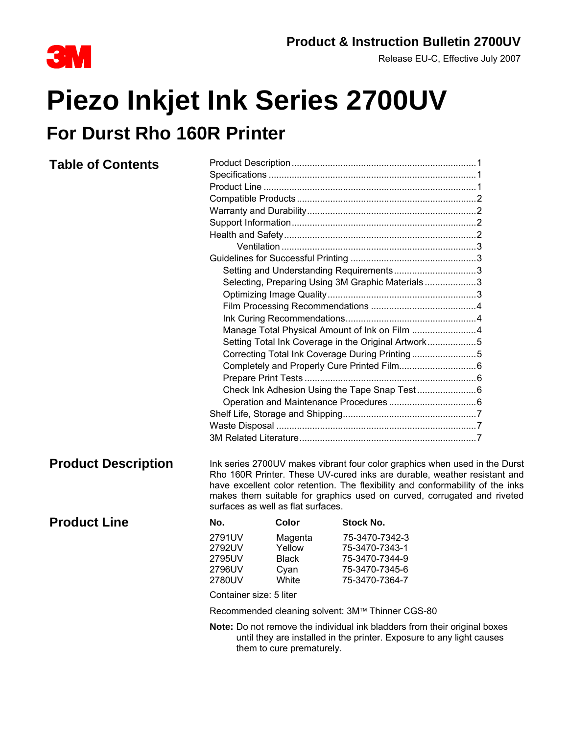

# **Product & Instruction Bulletin 2700UV**<br>Release EU-C, Effective July 2007

Release EU-C, Effective July 2007

## **Piezo Inkjet Ink Series 2700UV For Durst Rho 160R Printer**

#### **Table of Contents** Product Description........................................................................1 Specifications .................................................................................1 Product Line ...................................................................................1 Compatible Products......................................................................2 Warranty and Durability..................................................................2 Support Information........................................................................2 Health and Safety...........................................................................2 Ventilation ............................................................................3 Guidelines for Successful Printing .................................................3 Setting and Understanding Requirements..................................3 Selecting, Preparing Using 3M Graphic Materials ....................3 Optimizing Image Quality..........................................................3 Film Processing Recommendations .........................................4 Ink Curing Recommendations...................................................4 Manage Total Physical Amount of Ink on Film .........................4 Setting Total Ink Coverage in the Original Artwork.....................5 Correcting Total Ink Coverage During Printing .........................5 Completely and Properly Cure Printed Film..............................6 Prepare Print Tests ...................................................................6 Check Ink Adhesion Using the Tape Snap Test .......................6 Operation and Maintenance Procedures ..................................6 Shelf Life, Storage and Shipping....................................................7 Waste Disposal ..............................................................................7 3M Related Literature.....................................................................7 **Product Description** Ink series 2700UV makes vibrant four color graphics when used in the Durst Rho 160R Printer. These UV-cured inks are durable, weather resistant and have excellent color retention. The flexibility and conformability of the inks makes them suitable for graphics used on curved, corrugated and riveted surfaces as well as flat surfaces. **Product Line** No. Color Stock No. 2791UV Magenta 75-3470-7342-3 2792UV Yellow 75-3470-7343-1 2795UV Black 75-3470-7344-9 2796UV Cyan 75-3470-7345-6 2780UV White 75-3470-7364-7 Container size: 5 liter Recommended cleaning solvent: 3M™ Thinner CGS-80 **Note:** Do not remove the individual ink bladders from their original boxes until they are installed in the printer. Exposure to any light causes

them to cure prematurely.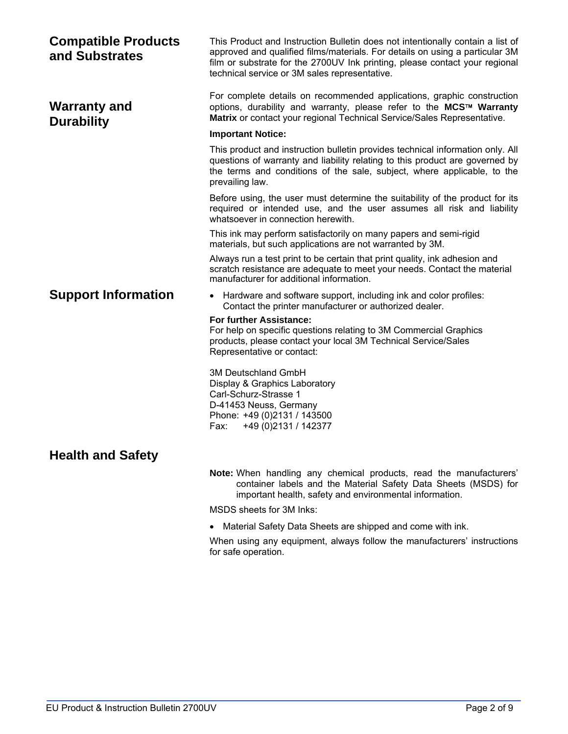| <b>Compatible Products</b><br>and Substrates | This Product and Instruction Bulletin does not intentionally contain a list of<br>approved and qualified films/materials. For details on using a particular 3M<br>film or substrate for the 2700UV Ink printing, please contact your regional<br>technical service or 3M sales representative. |  |  |
|----------------------------------------------|------------------------------------------------------------------------------------------------------------------------------------------------------------------------------------------------------------------------------------------------------------------------------------------------|--|--|
| <b>Warranty and</b><br><b>Durability</b>     | For complete details on recommended applications, graphic construction<br>options, durability and warranty, please refer to the MCS™ Warranty<br>Matrix or contact your regional Technical Service/Sales Representative.                                                                       |  |  |
|                                              | <b>Important Notice:</b>                                                                                                                                                                                                                                                                       |  |  |
|                                              | This product and instruction bulletin provides technical information only. All<br>questions of warranty and liability relating to this product are governed by<br>the terms and conditions of the sale, subject, where applicable, to the<br>prevailing law.                                   |  |  |
|                                              | Before using, the user must determine the suitability of the product for its<br>required or intended use, and the user assumes all risk and liability<br>whatsoever in connection herewith.                                                                                                    |  |  |
|                                              | This ink may perform satisfactorily on many papers and semi-rigid<br>materials, but such applications are not warranted by 3M.                                                                                                                                                                 |  |  |
|                                              | Always run a test print to be certain that print quality, ink adhesion and<br>scratch resistance are adequate to meet your needs. Contact the material<br>manufacturer for additional information.                                                                                             |  |  |
| <b>Support Information</b>                   | • Hardware and software support, including ink and color profiles:<br>Contact the printer manufacturer or authorized dealer.                                                                                                                                                                   |  |  |
|                                              | <b>For further Assistance:</b><br>For help on specific questions relating to 3M Commercial Graphics<br>products, please contact your local 3M Technical Service/Sales<br>Representative or contact:                                                                                            |  |  |
|                                              | <b>3M Deutschland GmbH</b><br>Display & Graphics Laboratory<br>Carl-Schurz-Strasse 1<br>D-41453 Neuss, Germany<br>Phone: +49 (0)2131 / 143500<br>+49 (0) 2131 / 142377<br>Fax:                                                                                                                 |  |  |
| <b>Health and Safety</b>                     |                                                                                                                                                                                                                                                                                                |  |  |
|                                              | Note: When handling any chemical products, read the manufacturers'<br>container labels and the Material Safety Data Sheets (MSDS) for<br>important health, safety and environmental information.                                                                                               |  |  |
|                                              | MSDS sheets for 3M Inks:                                                                                                                                                                                                                                                                       |  |  |
|                                              | Material Safety Data Sheets are shipped and come with ink.                                                                                                                                                                                                                                     |  |  |
|                                              | When using any equipment, always follow the manufacturers' instructions<br>for safe operation.                                                                                                                                                                                                 |  |  |
|                                              |                                                                                                                                                                                                                                                                                                |  |  |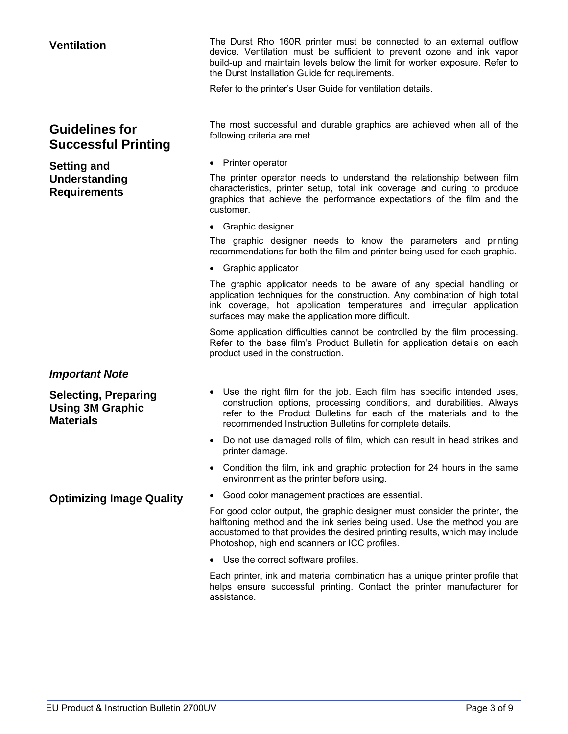### **Guidelines for Successful Printing**

**Setting and Understanding Requirements** 

### *Important Note*

**Selecting, Preparing Using 3M Graphic Materials** 

**Ventilation** The Durst Rho 160R printer must be connected to an external outflow device. Ventilation must be sufficient to prevent ozone and ink vapor build-up and maintain levels below the limit for worker exposure. Refer to the Durst Installation Guide for requirements.

Refer to the printer's User Guide for ventilation details.

The most successful and durable graphics are achieved when all of the following criteria are met.

• Printer operator

The printer operator needs to understand the relationship between film characteristics, printer setup, total ink coverage and curing to produce graphics that achieve the performance expectations of the film and the customer.

• Graphic designer

The graphic designer needs to know the parameters and printing recommendations for both the film and printer being used for each graphic.

• Graphic applicator

The graphic applicator needs to be aware of any special handling or application techniques for the construction. Any combination of high total ink coverage, hot application temperatures and irregular application surfaces may make the application more difficult.

Some application difficulties cannot be controlled by the film processing. Refer to the base film's Product Bulletin for application details on each product used in the construction.

- Use the right film for the job. Each film has specific intended uses, construction options, processing conditions, and durabilities. Always refer to the Product Bulletins for each of the materials and to the recommended Instruction Bulletins for complete details.
- Do not use damaged rolls of film, which can result in head strikes and printer damage.
- Condition the film, ink and graphic protection for 24 hours in the same environment as the printer before using.
- **Optimizing Image Quality •** Good color management practices are essential.

For good color output, the graphic designer must consider the printer, the halftoning method and the ink series being used. Use the method you are accustomed to that provides the desired printing results, which may include Photoshop, high end scanners or ICC profiles.

• Use the correct software profiles.

Each printer, ink and material combination has a unique printer profile that helps ensure successful printing. Contact the printer manufacturer for assistance.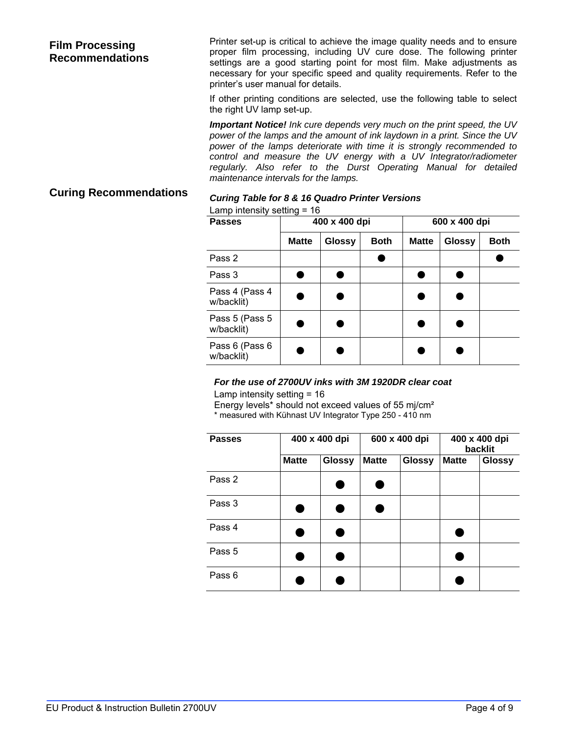#### **Film Processing Recommendations**

Printer set-up is critical to achieve the image quality needs and to ensure proper film processing, including UV cure dose. The following printer settings are a good starting point for most film. Make adjustments as necessary for your specific speed and quality requirements. Refer to the printer's user manual for details.

If other printing conditions are selected, use the following table to select the right UV lamp set-up.

*Important Notice! Ink cure depends very much on the print speed, the UV power of the lamps and the amount of ink laydown in a print. Since the UV power of the lamps deteriorate with time it is strongly recommended to control and measure the UV energy with a UV Integrator/radiometer regularly. Also refer to the Durst Operating Manual for detailed maintenance intervals for the lamps.* 

## **Curing Recommendations** *Curing Table for 8 & 16 Quadro Printer Versions*

|  | Lamp intensity setting $= 16$ |  |
|--|-------------------------------|--|
|  |                               |  |

| <b>Passes</b>                 | 400 x 400 dpi |               |             | 600 x 400 dpi |               |             |
|-------------------------------|---------------|---------------|-------------|---------------|---------------|-------------|
|                               | <b>Matte</b>  | <b>Glossy</b> | <b>Both</b> | <b>Matte</b>  | <b>Glossy</b> | <b>Both</b> |
| Pass 2                        |               |               |             |               |               |             |
| Pass 3                        |               |               |             |               |               |             |
| Pass 4 (Pass 4<br>w/backlit)  |               |               |             |               |               |             |
| Pass 5 (Pass 5)<br>w/backlit) |               |               |             |               |               |             |
| Pass 6 (Pass 6)<br>w/backlit) |               |               |             |               |               |             |

#### *For the use of 2700UV inks with 3M 1920DR clear coat*

Lamp intensity setting = 16

Energy levels\* should not exceed values of 55 mj/cm²

\* measured with Kühnast UV Integrator Type 250 - 410 nm

| <b>Passes</b> | 400 x 400 dpi |               | 600 x 400 dpi |               | 400 x 400 dpi<br>backlit |               |
|---------------|---------------|---------------|---------------|---------------|--------------------------|---------------|
|               | <b>Matte</b>  | <b>Glossy</b> | <b>Matte</b>  | <b>Glossy</b> | <b>Matte</b>             | <b>Glossy</b> |
| Pass 2        |               |               |               |               |                          |               |
| Pass 3        |               |               |               |               |                          |               |
| Pass 4        |               |               |               |               |                          |               |
| Pass 5        |               |               |               |               |                          |               |
| Pass 6        |               |               |               |               |                          |               |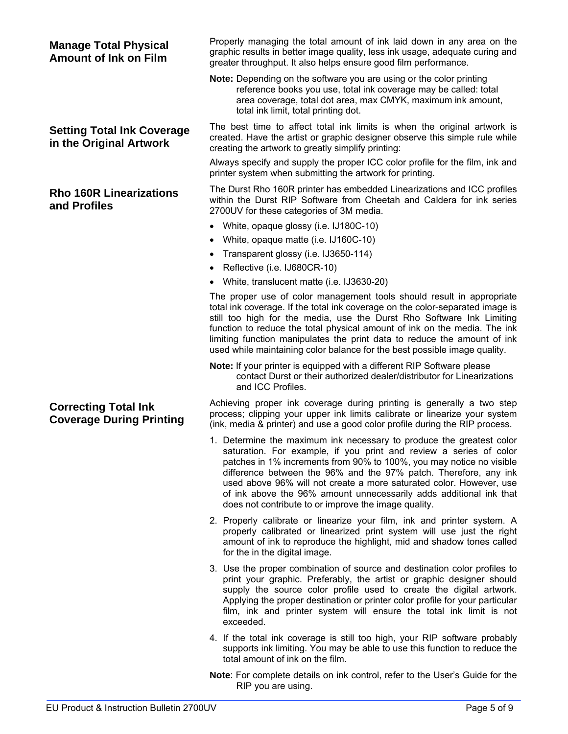| <b>Manage Total Physical</b><br><b>Amount of Ink on Film</b>   | Properly managing the total amount of ink laid down in any area on the<br>graphic results in better image quality, less ink usage, adequate curing and<br>greater throughput. It also helps ensure good film performance.                                                                                                                                                                                                                                                                   |
|----------------------------------------------------------------|---------------------------------------------------------------------------------------------------------------------------------------------------------------------------------------------------------------------------------------------------------------------------------------------------------------------------------------------------------------------------------------------------------------------------------------------------------------------------------------------|
|                                                                | Note: Depending on the software you are using or the color printing<br>reference books you use, total ink coverage may be called: total<br>area coverage, total dot area, max CMYK, maximum ink amount,<br>total ink limit, total printing dot.                                                                                                                                                                                                                                             |
| <b>Setting Total Ink Coverage</b><br>in the Original Artwork   | The best time to affect total ink limits is when the original artwork is<br>created. Have the artist or graphic designer observe this simple rule while<br>creating the artwork to greatly simplify printing:                                                                                                                                                                                                                                                                               |
|                                                                | Always specify and supply the proper ICC color profile for the film, ink and<br>printer system when submitting the artwork for printing.                                                                                                                                                                                                                                                                                                                                                    |
| <b>Rho 160R Linearizations</b><br>and Profiles                 | The Durst Rho 160R printer has embedded Linearizations and ICC profiles<br>within the Durst RIP Software from Cheetah and Caldera for ink series<br>2700UV for these categories of 3M media.                                                                                                                                                                                                                                                                                                |
|                                                                | White, opaque glossy (i.e. IJ180C-10)                                                                                                                                                                                                                                                                                                                                                                                                                                                       |
|                                                                | • White, opaque matte (i.e. IJ160C-10)                                                                                                                                                                                                                                                                                                                                                                                                                                                      |
|                                                                | Transparent glossy (i.e. IJ3650-114)                                                                                                                                                                                                                                                                                                                                                                                                                                                        |
|                                                                | • Reflective (i.e. IJ680CR-10)                                                                                                                                                                                                                                                                                                                                                                                                                                                              |
|                                                                | • White, translucent matte (i.e. IJ3630-20)                                                                                                                                                                                                                                                                                                                                                                                                                                                 |
|                                                                | The proper use of color management tools should result in appropriate<br>total ink coverage. If the total ink coverage on the color-separated image is<br>still too high for the media, use the Durst Rho Software Ink Limiting<br>function to reduce the total physical amount of ink on the media. The ink<br>limiting function manipulates the print data to reduce the amount of ink<br>used while maintaining color balance for the best possible image quality.                       |
|                                                                | Note: If your printer is equipped with a different RIP Software please<br>contact Durst or their authorized dealer/distributor for Linearizations<br>and ICC Profiles.                                                                                                                                                                                                                                                                                                                      |
| <b>Correcting Total Ink</b><br><b>Coverage During Printing</b> | Achieving proper ink coverage during printing is generally a two step<br>process; clipping your upper ink limits calibrate or linearize your system<br>(ink, media & printer) and use a good color profile during the RIP process.                                                                                                                                                                                                                                                          |
|                                                                | 1. Determine the maximum ink necessary to produce the greatest color<br>saturation. For example, if you print and review a series of color<br>patches in 1% increments from 90% to 100%, you may notice no visible<br>difference between the 96% and the 97% patch. Therefore, any ink<br>used above 96% will not create a more saturated color. However, use<br>of ink above the 96% amount unnecessarily adds additional ink that<br>does not contribute to or improve the image quality. |
|                                                                | 2. Properly calibrate or linearize your film, ink and printer system. A<br>properly calibrated or linearized print system will use just the right<br>amount of ink to reproduce the highlight, mid and shadow tones called<br>for the in the digital image.                                                                                                                                                                                                                                 |
|                                                                | 3. Use the proper combination of source and destination color profiles to<br>print your graphic. Preferably, the artist or graphic designer should<br>supply the source color profile used to create the digital artwork.<br>Applying the proper destination or printer color profile for your particular<br>film, ink and printer system will ensure the total ink limit is not<br>exceeded.                                                                                               |
|                                                                | 4. If the total ink coverage is still too high, your RIP software probably<br>supports ink limiting. You may be able to use this function to reduce the<br>total amount of ink on the film.                                                                                                                                                                                                                                                                                                 |

**Note**: For complete details on ink control, refer to the User's Guide for the RIP you are using.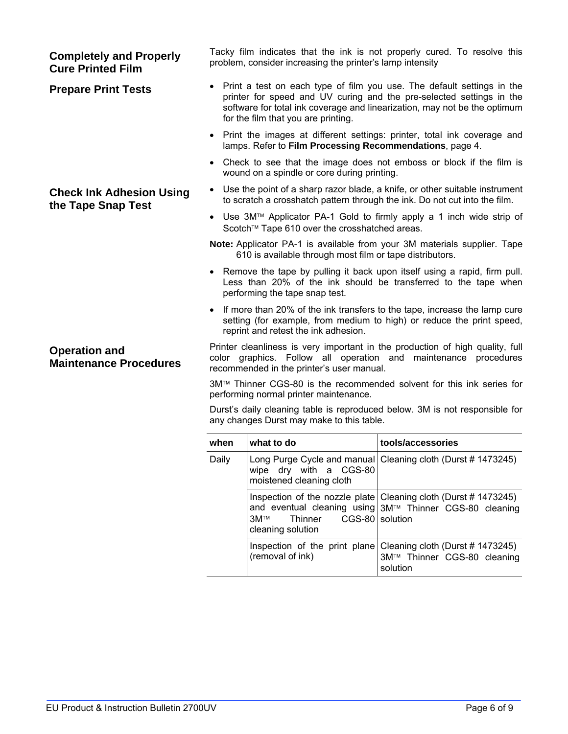| <b>Completely and Properly</b><br><b>Cure Printed Film</b> | Tacky film indicates that the ink is not properly cured. To resolve this<br>problem, consider increasing the printer's lamp intensity                                                                                                                                |                                                        |                                                                                                                                                           |  |  |
|------------------------------------------------------------|----------------------------------------------------------------------------------------------------------------------------------------------------------------------------------------------------------------------------------------------------------------------|--------------------------------------------------------|-----------------------------------------------------------------------------------------------------------------------------------------------------------|--|--|
| <b>Prepare Print Tests</b>                                 | • Print a test on each type of film you use. The default settings in the<br>printer for speed and UV curing and the pre-selected settings in the<br>software for total ink coverage and linearization, may not be the optimum<br>for the film that you are printing. |                                                        |                                                                                                                                                           |  |  |
|                                                            | • Print the images at different settings: printer, total ink coverage and<br>lamps. Refer to Film Processing Recommendations, page 4.                                                                                                                                |                                                        |                                                                                                                                                           |  |  |
|                                                            | $\bullet$                                                                                                                                                                                                                                                            | wound on a spindle or core during printing.            | Check to see that the image does not emboss or block if the film is                                                                                       |  |  |
| <b>Check Ink Adhesion Using</b><br>the Tape Snap Test      |                                                                                                                                                                                                                                                                      |                                                        | Use the point of a sharp razor blade, a knife, or other suitable instrument<br>to scratch a crosshatch pattern through the ink. Do not cut into the film. |  |  |
|                                                            | Use 3M™ Applicator PA-1 Gold to firmly apply a 1 inch wide strip of<br>$\bullet$<br>Scotch™ Tape 610 over the crosshatched areas.                                                                                                                                    |                                                        |                                                                                                                                                           |  |  |
|                                                            | Note: Applicator PA-1 is available from your 3M materials supplier. Tape<br>610 is available through most film or tape distributors.                                                                                                                                 |                                                        |                                                                                                                                                           |  |  |
|                                                            | • Remove the tape by pulling it back upon itself using a rapid, firm pull.<br>Less than 20% of the ink should be transferred to the tape when<br>performing the tape snap test.                                                                                      |                                                        |                                                                                                                                                           |  |  |
|                                                            | If more than 20% of the ink transfers to the tape, increase the lamp cure<br>setting (for example, from medium to high) or reduce the print speed,<br>reprint and retest the ink adhesion.                                                                           |                                                        |                                                                                                                                                           |  |  |
| <b>Operation and</b><br><b>Maintenance Procedures</b>      | Printer cleanliness is very important in the production of high quality, full<br>color graphics. Follow all operation and maintenance procedures<br>recommended in the printer's user manual.                                                                        |                                                        |                                                                                                                                                           |  |  |
|                                                            | 3M™ Thinner CGS-80 is the recommended solvent for this ink series for<br>performing normal printer maintenance.                                                                                                                                                      |                                                        |                                                                                                                                                           |  |  |
|                                                            | Durst's daily cleaning table is reproduced below. 3M is not responsible for<br>any changes Durst may make to this table.                                                                                                                                             |                                                        |                                                                                                                                                           |  |  |
|                                                            | when                                                                                                                                                                                                                                                                 | what to do                                             | tools/accessories                                                                                                                                         |  |  |
|                                                            | Daily                                                                                                                                                                                                                                                                | wipe dry with a CGS-80<br>moistened cleaning cloth     | Long Purge Cycle and manual Cleaning cloth (Durst #1473245)                                                                                               |  |  |
|                                                            |                                                                                                                                                                                                                                                                      | 3M™<br>Thinner<br>CGS-80 solution<br>cleaning solution | Inspection of the nozzle plate Cleaning cloth (Durst #1473245)<br>and eventual cleaning using 3M™ Thinner CGS-80 cleaning                                 |  |  |
|                                                            |                                                                                                                                                                                                                                                                      | (removal of ink)                                       | Inspection of the print plane Cleaning cloth (Durst #1473245)<br>3M™ Thinner CGS-80 cleaning<br>solution                                                  |  |  |